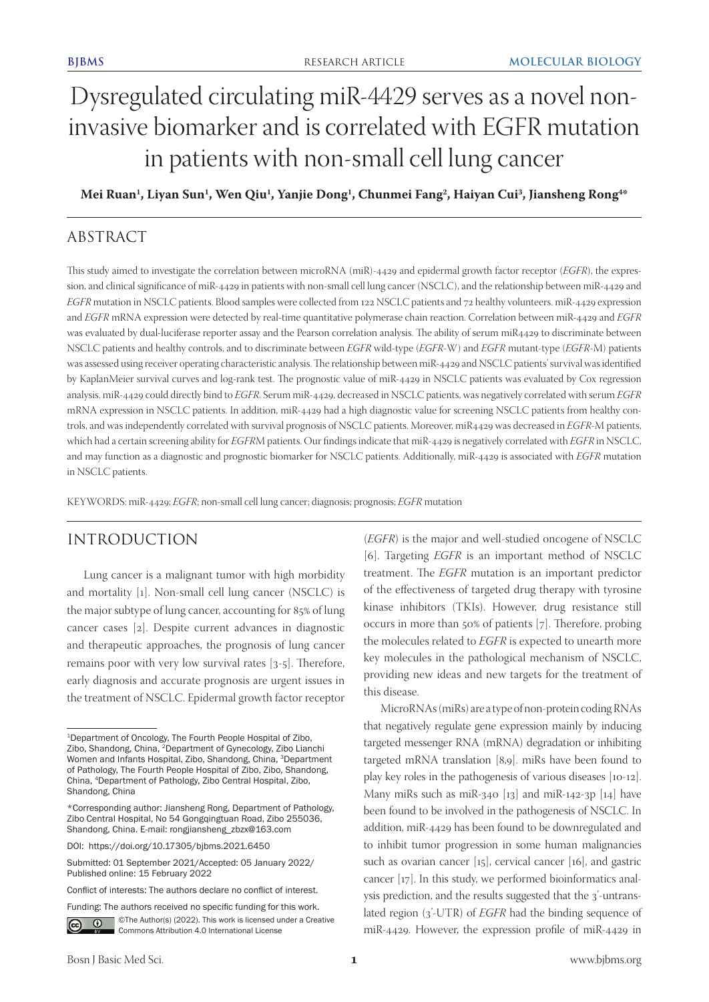# Dysregulated circulating miR-4429 serves as a novel noninvasive biomarker and is correlated with EGFR mutation in patients with non-small cell lung cancer

**Mei Ruan1 , Liyan Sun1 , Wen Qiu1 , Yanjie Dong1 , Chunmei Fang2 , Haiyan Cui3 , Jiansheng Rong4 \***

# ABSTRACT

This study aimed to investigate the correlation between microRNA (miR)-4429 and epidermal growth factor receptor (*EGFR*), the expression, and clinical significance of miR-4429 in patients with non-small cell lung cancer (NSCLC), and the relationship between miR-4429 and *EGFR* mutation in NSCLC patients. Blood samples were collected from 122 NSCLC patients and 72 healthy volunteers. miR-4429 expression and *EGFR* mRNA expression were detected by real-time quantitative polymerase chain reaction. Correlation between miR-4429 and *EGFR* was evaluated by dual-luciferase reporter assay and the Pearson correlation analysis. The ability of serum miR4429 to discriminate between NSCLC patients and healthy controls, and to discriminate between *EGFR* wild-type (*EGFR*-W) and *EGFR* mutant-type (*EGFR*-M) patients was assessed using receiver operating characteristic analysis. The relationship between miR-4429 and NSCLC patients' survival was identified by KaplanMeier survival curves and log-rank test. The prognostic value of miR-4429 in NSCLC patients was evaluated by Cox regression analysis. miR-4429 could directly bind to *EGFR*. Serum miR-4429, decreased in NSCLC patients, was negatively correlated with serum *EGFR* mRNA expression in NSCLC patients. In addition, miR-4429 had a high diagnostic value for screening NSCLC patients from healthy controls, and was independently correlated with survival prognosis of NSCLC patients. Moreover, miR4429 was decreased in *EGFR*-M patients, which had a certain screening ability for *EGFR*M patients. Our findings indicate that miR-4429 is negatively correlated with *EGFR* in NSCLC, and may function as a diagnostic and prognostic biomarker for NSCLC patients. Additionally, miR-4429 is associated with *EGFR* mutation in NSCLC patients.

KEYWORDS: miR-4429; *EGFR*; non-small cell lung cancer; diagnosis; prognosis; *EGFR* mutation

# INTRODUCTION

Lung cancer is a malignant tumor with high morbidity and mortality [1]. Non-small cell lung cancer (NSCLC) is the major subtype of lung cancer, accounting for 85% of lung cancer cases [2]. Despite current advances in diagnostic and therapeutic approaches, the prognosis of lung cancer remains poor with very low survival rates [3-5]. Therefore, early diagnosis and accurate prognosis are urgent issues in the treatment of NSCLC. Epidermal growth factor receptor

Funding: The authors received no specific funding for this work.

**i** ©The Author(s) (2022). This work is licensed under a Creative Commons Attribution 4.0 International License

(*EGFR*) is the major and well-studied oncogene of NSCLC [6]. Targeting *EGFR* is an important method of NSCLC treatment. The *EGFR* mutation is an important predictor of the effectiveness of targeted drug therapy with tyrosine kinase inhibitors (TKIs). However, drug resistance still occurs in more than 50% of patients [7]. Therefore, probing the molecules related to *EGFR* is expected to unearth more key molecules in the pathological mechanism of NSCLC, providing new ideas and new targets for the treatment of this disease.

MicroRNAs (miRs) are a type of non-protein coding RNAs that negatively regulate gene expression mainly by inducing targeted messenger RNA (mRNA) degradation or inhibiting targeted mRNA translation [8,9]. miRs have been found to play key roles in the pathogenesis of various diseases [10-12]. Many miRs such as miR-340 [13] and miR-142-3p [14] have been found to be involved in the pathogenesis of NSCLC. In addition, miR-4429 has been found to be downregulated and to inhibit tumor progression in some human malignancies such as ovarian cancer [15], cervical cancer [16], and gastric cancer [17]. In this study, we performed bioinformatics analysis prediction, and the results suggested that the 3'-untranslated region (3'-UTR) of *EGFR* had the binding sequence of miR-4429. However, the expression profile of miR-4429 in

<sup>1</sup>Department of Oncology, The Fourth People Hospital of Zibo, Zibo, Shandong, China, 2Department of Gynecology, Zibo Lianchi Women and Infants Hospital, Zibo, Shandong, China, 3Department of Pathology, The Fourth People Hospital of Zibo, Zibo, Shandong, China, 4Department of Pathology, Zibo Central Hospital, Zibo, Shandong, China

<sup>\*</sup>Corresponding author: Jiansheng Rong, Department of Pathology, Zibo Central Hospital, No 54 Gongqingtuan Road, Zibo 255036, Shandong, China. E-mail: rongjiansheng\_zbzx@163.com

DOI: https://doi.org/10.17305/bjbms.2021.6450

Submitted: 01 September 2021/Accepted: 05 January 2022/ Published online: 15 February 2022

Conflict of interests: The authors declare no conflict of interest.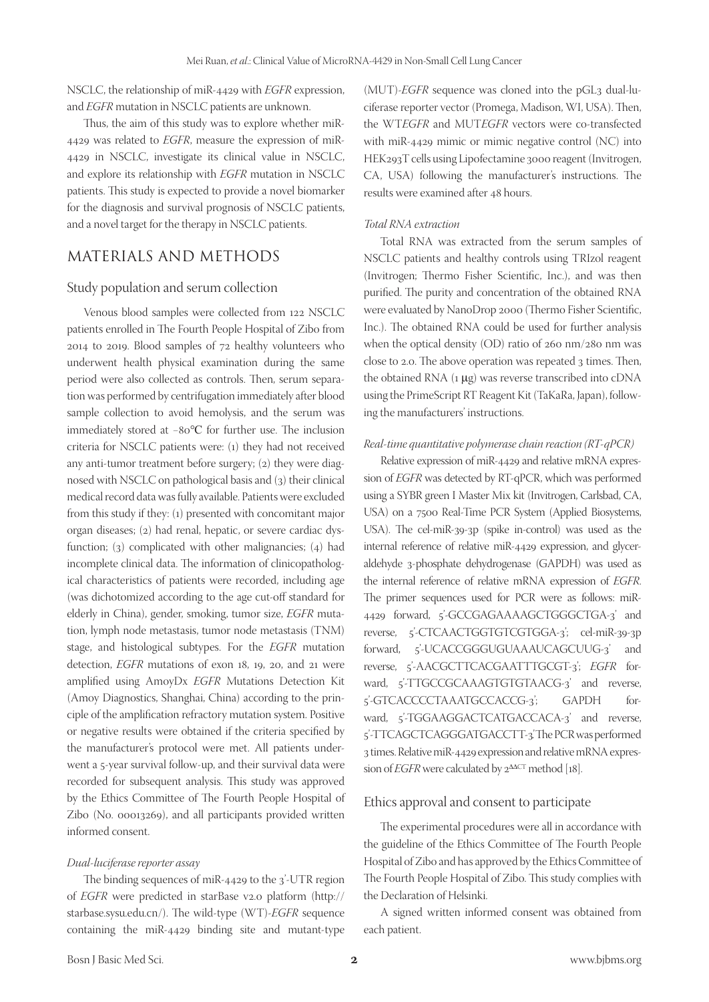NSCLC, the relationship of miR-4429 with *EGFR* expression, and *EGFR* mutation in NSCLC patients are unknown.

Thus, the aim of this study was to explore whether miR-4429 was related to *EGFR*, measure the expression of miR-4429 in NSCLC, investigate its clinical value in NSCLC, and explore its relationship with *EGFR* mutation in NSCLC patients. This study is expected to provide a novel biomarker for the diagnosis and survival prognosis of NSCLC patients, and a novel target for the therapy in NSCLC patients.

# MATERIALS AND METHODS

#### Study population and serum collection

Venous blood samples were collected from 122 NSCLC patients enrolled in The Fourth People Hospital of Zibo from 2014 to 2019. Blood samples of 72 healthy volunteers who underwent health physical examination during the same period were also collected as controls. Then, serum separation was performed by centrifugation immediately after blood sample collection to avoid hemolysis, and the serum was immediately stored at −80℃ for further use. The inclusion criteria for NSCLC patients were: (1) they had not received any anti-tumor treatment before surgery; (2) they were diagnosed with NSCLC on pathological basis and (3) their clinical medical record data was fully available. Patients were excluded from this study if they: (1) presented with concomitant major organ diseases; (2) had renal, hepatic, or severe cardiac dysfunction; (3) complicated with other malignancies; (4) had incomplete clinical data. The information of clinicopathological characteristics of patients were recorded, including age (was dichotomized according to the age cut-off standard for elderly in China), gender, smoking, tumor size, *EGFR* mutation, lymph node metastasis, tumor node metastasis (TNM) stage, and histological subtypes. For the *EGFR* mutation detection, *EGFR* mutations of exon 18, 19, 20, and 21 were amplified using AmoyDx *EGFR* Mutations Detection Kit (Amoy Diagnostics, Shanghai, China) according to the principle of the amplification refractory mutation system. Positive or negative results were obtained if the criteria specified by the manufacturer's protocol were met. All patients underwent a 5-year survival follow-up, and their survival data were recorded for subsequent analysis. This study was approved by the Ethics Committee of The Fourth People Hospital of Zibo (No. 00013269), and all participants provided written informed consent.

#### *Dual-luciferase reporter assay*

The binding sequences of miR-4429 to the 3'-UTR region of *EGFR* were predicted in starBase v2.0 platform (http:// starbase.sysu.edu.cn/). The wild-type (WT)-*EGFR* sequence containing the miR-4429 binding site and mutant-type (MUT)-*EGFR* sequence was cloned into the pGL3 dual-luciferase reporter vector (Promega, Madison, WI, USA). Then, the WT*EGFR* and MUT*EGFR* vectors were co-transfected with miR-4429 mimic or mimic negative control (NC) into HEK293T cells using Lipofectamine 3000 reagent (Invitrogen, CA, USA) following the manufacturer's instructions. The results were examined after 48 hours.

#### *Total RNA extraction*

Total RNA was extracted from the serum samples of NSCLC patients and healthy controls using TRIzol reagent (Invitrogen; Thermo Fisher Scientific, Inc.), and was then purified. The purity and concentration of the obtained RNA were evaluated by NanoDrop 2000 (Thermo Fisher Scientific, Inc.). The obtained RNA could be used for further analysis when the optical density (OD) ratio of 260 nm/280 nm was close to 2.0. The above operation was repeated 3 times. Then, the obtained RNA (1 μg) was reverse transcribed into cDNA using the PrimeScript RT Reagent Kit (TaKaRa, Japan), following the manufacturers' instructions.

#### *Real-time quantitative polymerase chain reaction (RT-qPCR)*

Relative expression of miR-4429 and relative mRNA expression of *EGFR* was detected by RT-qPCR, which was performed using a SYBR green I Master Mix kit (Invitrogen, Carlsbad, CA, USA) on a 7500 Real-Time PCR System (Applied Biosystems, USA). The cel-miR-39-3p (spike in-control) was used as the internal reference of relative miR-4429 expression, and glyceraldehyde 3-phosphate dehydrogenase (GAPDH) was used as the internal reference of relative mRNA expression of *EGFR*. The primer sequences used for PCR were as follows: miR-4429 forward, 5'-GCCGAGAAAAGCTGGGCTGA-3' and reverse, 5'-CTCAACTGGTGTCGTGGA-3'; cel-miR-39-3p forward, 5'-UCACCGGGUGUAAAUCAGCUUG-3' and reverse, 5'-AACGCTTCACGAATTTGCGT-3'; *EGFR* forward, 5'-TTGCCGCAAAGTGTGTAACG-3' and reverse, 5'-GTCACCCCTAAATGCCACCG-3'; GAPDH forward, 5'-TGGAAGGACTCATGACCACA-3' and reverse, 5'-TTCAGCTCAGGGATGACCTT-3'. The PCR was performed 3 times. Relative miR-4429 expression and relative mRNA expression of *EGFR* were calculated by 2<sup>ΔΔCT</sup> method [18].

#### Ethics approval and consent to participate

The experimental procedures were all in accordance with the guideline of the Ethics Committee of The Fourth People Hospital of Zibo and has approved by the Ethics Committee of The Fourth People Hospital of Zibo. This study complies with the Declaration of Helsinki.

A signed written informed consent was obtained from each patient.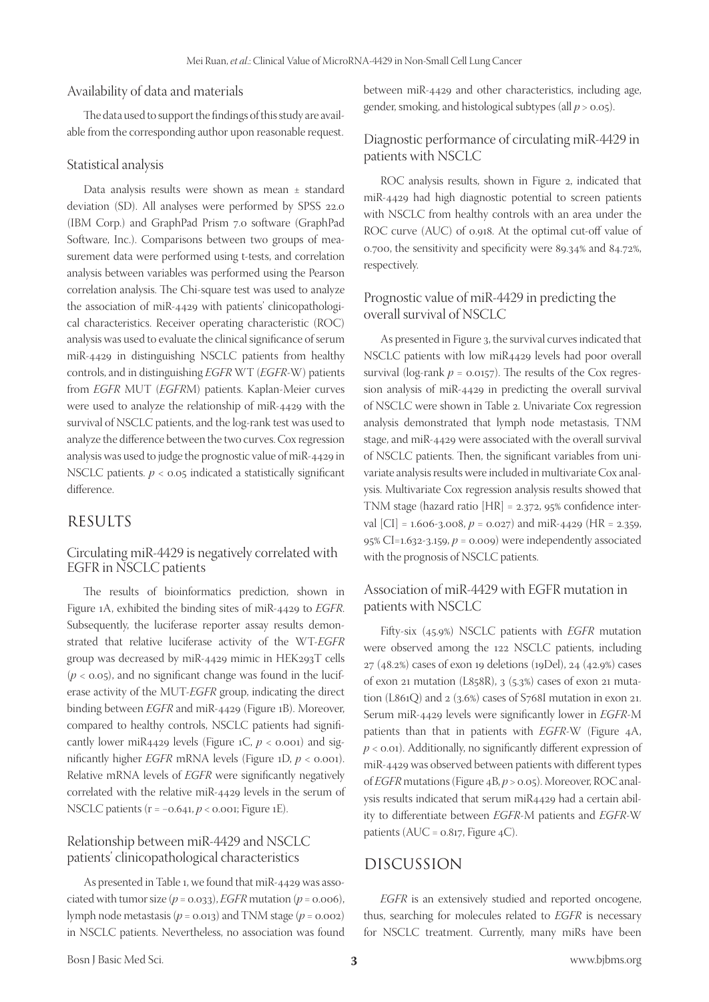#### Availability of data and materials

The data used to support the findings of this study are available from the corresponding author upon reasonable request.

#### Statistical analysis

Data analysis results were shown as mean ± standard deviation (SD). All analyses were performed by SPSS 22.0 (IBM Corp.) and GraphPad Prism 7.0 software (GraphPad Software, Inc.). Comparisons between two groups of measurement data were performed using t-tests, and correlation analysis between variables was performed using the Pearson correlation analysis. The Chi-square test was used to analyze the association of miR-4429 with patients' clinicopathological characteristics. Receiver operating characteristic (ROC) analysis was used to evaluate the clinical significance of serum miR-4429 in distinguishing NSCLC patients from healthy controls, and in distinguishing *EGFR* WT (*EGFR*-W) patients from *EGFR* MUT (*EGFR*M) patients. Kaplan-Meier curves were used to analyze the relationship of miR-4429 with the survival of NSCLC patients, and the log-rank test was used to analyze the difference between the two curves. Cox regression analysis was used to judge the prognostic value of miR-4429 in NSCLC patients.  $p < 0.05$  indicated a statistically significant difference.

#### RESULTS

#### Circulating miR-4429 is negatively correlated with EGFR in NSCLC patients

The results of bioinformatics prediction, shown in Figure 1A, exhibited the binding sites of miR-4429 to *EGFR*. Subsequently, the luciferase reporter assay results demonstrated that relative luciferase activity of the WT-*EGFR* group was decreased by miR-4429 mimic in HEK293T cells  $(p < 0.05)$ , and no significant change was found in the luciferase activity of the MUT-*EGFR* group, indicating the direct binding between *EGFR* and miR-4429 (Figure 1B). Moreover, compared to healthy controls, NSCLC patients had significantly lower miR4429 levels (Figure  $1C$ ,  $p < 0.001$ ) and significantly higher *EGFR* mRNA levels (Figure 1D, *p* < 0.001). Relative mRNA levels of *EGFR* were significantly negatively correlated with the relative miR-4429 levels in the serum of NSCLC patients (r = −0.641, *p* < 0.001; Figure 1E).

# Relationship between miR-4429 and NSCLC patients' clinicopathological characteristics

As presented in Table 1, we found that miR-4429 was associated with tumor size  $(p = 0.033)$ , *EGFR* mutation  $(p = 0.006)$ , lymph node metastasis (*p* = 0.013) and TNM stage (*p* = 0.002) in NSCLC patients. Nevertheless, no association was found

between miR-4429 and other characteristics, including age, gender, smoking, and histological subtypes (all  $p > 0.05$ ).

#### Diagnostic performance of circulating miR-4429 in patients with NSCLC

ROC analysis results, shown in Figure 2, indicated that miR-4429 had high diagnostic potential to screen patients with NSCLC from healthy controls with an area under the ROC curve (AUC) of 0.918. At the optimal cut-off value of 0.700, the sensitivity and specificity were 89.34% and 84.72%, respectively.

# Prognostic value of miR-4429 in predicting the overall survival of NSCLC

As presented in Figure 3, the survival curves indicated that NSCLC patients with low miR4429 levels had poor overall survival (log-rank  $p = 0.0157$ ). The results of the Cox regression analysis of miR-4429 in predicting the overall survival of NSCLC were shown in Table 2. Univariate Cox regression analysis demonstrated that lymph node metastasis, TNM stage, and miR-4429 were associated with the overall survival of NSCLC patients. Then, the significant variables from univariate analysis results were included in multivariate Cox analysis. Multivariate Cox regression analysis results showed that TNM stage (hazard ratio [HR] = 2.372, 95% confidence interval  $|CI| = 1.606 - 3.008$ ,  $p = 0.027$ ) and miR-4429 (HR = 2.359, 95% CI=1.632-3.159, *p* = 0.009) were independently associated with the prognosis of NSCLC patients.

# Association of miR-4429 with EGFR mutation in patients with NSCLC

Fifty-six (45.9%) NSCLC patients with *EGFR* mutation were observed among the 122 NSCLC patients, including 27 (48.2%) cases of exon 19 deletions (19Del), 24 (42.9%) cases of exon 21 mutation (L858R), 3 (5.3%) cases of exon 21 mutation (L861Q) and 2 (3.6%) cases of S768I mutation in exon 21. Serum miR-4429 levels were significantly lower in *EGFR*-M patients than that in patients with *EGFR*-W (Figure 4A,  $p <$  0.01). Additionally, no significantly different expression of miR-4429 was observed between patients with different types of *EGFR* mutations (Figure 4B, *p* > 0.05). Moreover, ROC analysis results indicated that serum miR4429 had a certain ability to differentiate between *EGFR*-M patients and *EGFR*-W patients ( $AUC = 0.817$ , Figure  $4C$ ).

# DISCUSSION

*EGFR* is an extensively studied and reported oncogene, thus, searching for molecules related to *EGFR* is necessary for NSCLC treatment. Currently, many miRs have been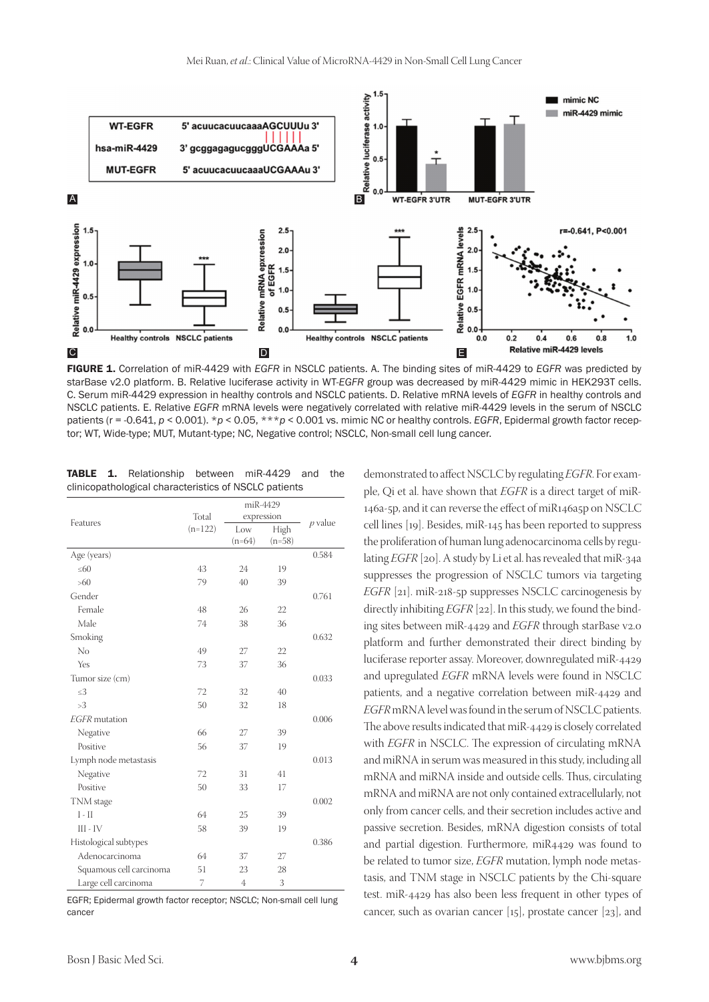

FIGURE 1. Correlation of miR-4429 with *EGFR* in NSCLC patients. A. The binding sites of miR-4429 to *EGFR* was predicted by starBase v2.0 platform. B. Relative luciferase activity in WT-*EGFR* group was decreased by miR-4429 mimic in HEK293T cells. C. Serum miR-4429 expression in healthy controls and NSCLC patients. D. Relative mRNA levels of *EGFR* in healthy controls and NSCLC patients. E. Relative *EGFR* mRNA levels were negatively correlated with relative miR-4429 levels in the serum of NSCLC patients (r = -0.641,  $p < 0.001$ ). \* $p < 0.05$ , \*\*\* $p < 0.001$  vs. mimic NC or healthy controls. *EGFR*, Epidermal growth factor receptor; WT, Wide-type; MUT, Mutant-type; NC, Negative control; NSCLC, Non-small cell lung cancer.

TABLE 1. Relationship between miR-4429 and the clinicopathological characteristics of NSCLC patients

|                         |                    | miR-4429   |          | $p$ value |
|-------------------------|--------------------|------------|----------|-----------|
| Features                | Total<br>$(n=122)$ | expression |          |           |
|                         |                    | Low        | High     |           |
|                         |                    | $(n=64)$   | $(n=58)$ |           |
| Age (years)             |                    |            |          | 0.584     |
| &50                     | 43                 | 24         | 19       |           |
| $>60$                   | 79                 | $40^{1}$   | 39       |           |
| Gender                  |                    |            |          | 0.761     |
| Female                  | 48                 | 26         | 22       |           |
| Male                    | 74                 | 38         | 36       |           |
| Smoking                 |                    |            |          | 0.632     |
| No                      | 49                 | 27         | 22       |           |
| Yes                     | 73                 | 37         | 36       |           |
| Tumor size (cm)         |                    |            |          | 0.033     |
| $\leq$ 3                | 72                 | 32         | 40       |           |
| >3                      | 50                 | 32         | 18       |           |
| <b>EGFR</b> mutation    |                    |            |          | 0.006     |
| Negative                | 66                 | 27         | 39       |           |
| Positive                | 56                 | 37         | 19       |           |
| Lymph node metastasis   |                    |            |          | 0.013     |
| Negative                | 72                 | 31         | 41       |           |
| Positive                | 50                 | 33         | 17       |           |
| TNM stage               |                    |            |          | 0.002     |
| $I - II$                | 64                 | 25         | 39       |           |
| $III - IV$              | 58                 | 39         | 19       |           |
| Histological subtypes   |                    |            |          | 0.386     |
| Adenocarcinoma          | 64                 | 37         | 27       |           |
| Squamous cell carcinoma | 51                 | 23         | 28       |           |
| Large cell carcinoma    | 7                  | 4          | 3        |           |

EGFR; Epidermal growth factor receptor; NSCLC; Non-small cell lung cancer

demonstrated to affect NSCLC by regulating *EGFR*. For example, Qi et al. have shown that *EGFR* is a direct target of miR-146a-5p, and it can reverse the effect of miR146a5p on NSCLC cell lines [19]. Besides, miR-145 has been reported to suppress the proliferation of human lung adenocarcinoma cells by regulating *EGFR* [20]. A study by Li et al. has revealed that miR-34a suppresses the progression of NSCLC tumors via targeting *EGFR* [21]. miR-218-5p suppresses NSCLC carcinogenesis by directly inhibiting *EGFR* [22]. In this study, we found the binding sites between miR-4429 and *EGFR* through starBase v2.0 platform and further demonstrated their direct binding by luciferase reporter assay. Moreover, downregulated miR-4429 and upregulated *EGFR* mRNA levels were found in NSCLC patients, and a negative correlation between miR-4429 and *EGFR* mRNA level was found in the serum of NSCLC patients. The above results indicated that miR-4429 is closely correlated with *EGFR* in NSCLC. The expression of circulating mRNA and miRNA in serum was measured in this study, including all mRNA and miRNA inside and outside cells. Thus, circulating mRNA and miRNA are not only contained extracellularly, not only from cancer cells, and their secretion includes active and passive secretion. Besides, mRNA digestion consists of total and partial digestion. Furthermore, miR4429 was found to be related to tumor size, *EGFR* mutation, lymph node metastasis, and TNM stage in NSCLC patients by the Chi-square test. miR-4429 has also been less frequent in other types of cancer, such as ovarian cancer [15], prostate cancer [23], and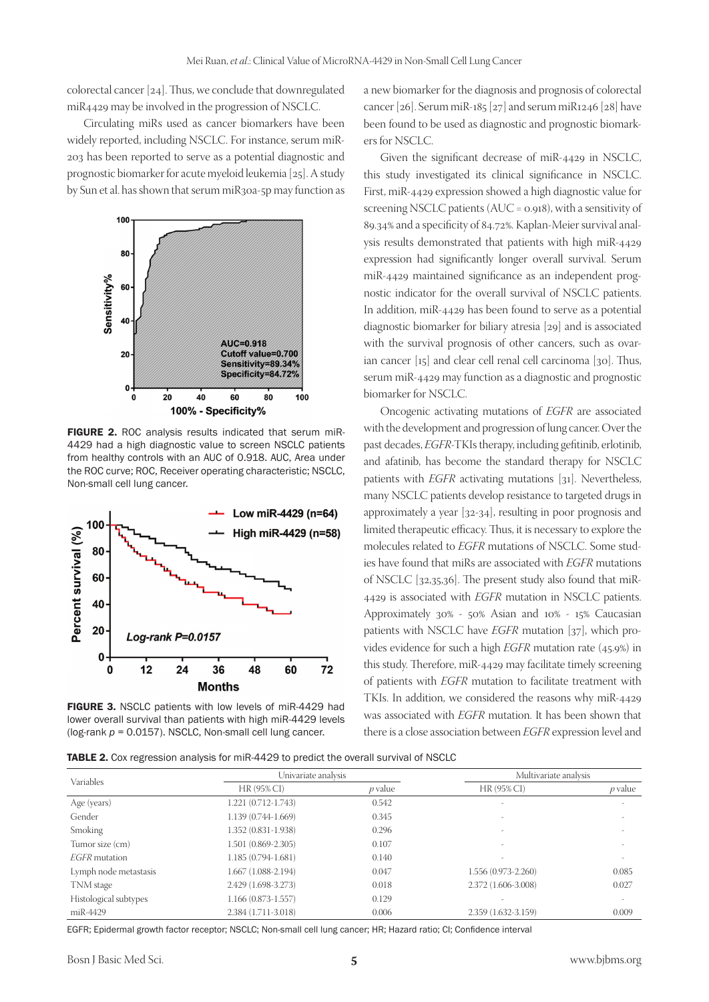colorectal cancer [24]. Thus, we conclude that downregulated miR4429 may be involved in the progression of NSCLC.

Circulating miRs used as cancer biomarkers have been widely reported, including NSCLC. For instance, serum miR-203 has been reported to serve as a potential diagnostic and prognostic biomarker for acute myeloid leukemia [25]. A study by Sun et al. has shown that serum miR30a-5p may function as



FIGURE 2. ROC analysis results indicated that serum miR-4429 had a high diagnostic value to screen NSCLC patients from healthy controls with an AUC of 0.918. AUC, Area under the ROC curve; ROC, Receiver operating characteristic; NSCLC, Non-small cell lung cancer.



FIGURE 3. NSCLC patients with low levels of miR-4429 had lower overall survival than patients with high miR-4429 levels (log-rank *p* = 0.0157). NSCLC, Non-small cell lung cancer.

TABLE 2. Cox regression analysis for miR‑4429 to predict the overall survival of NSCLC

a new biomarker for the diagnosis and prognosis of colorectal cancer [26]. Serum miR-185 [27] and serum miR1246 [28] have been found to be used as diagnostic and prognostic biomarkers for NSCLC.

Given the significant decrease of miR-4429 in NSCLC, this study investigated its clinical significance in NSCLC. First, miR-4429 expression showed a high diagnostic value for screening NSCLC patients (AUC = 0.918), with a sensitivity of 89.34% and a specificity of 84.72%. Kaplan-Meier survival analysis results demonstrated that patients with high miR-4429 expression had significantly longer overall survival. Serum miR-4429 maintained significance as an independent prognostic indicator for the overall survival of NSCLC patients. In addition, miR-4429 has been found to serve as a potential diagnostic biomarker for biliary atresia [29] and is associated with the survival prognosis of other cancers, such as ovarian cancer [15] and clear cell renal cell carcinoma [30]. Thus, serum miR-4429 may function as a diagnostic and prognostic biomarker for NSCLC.

Oncogenic activating mutations of *EGFR* are associated with the development and progression of lung cancer. Over the past decades, *EGFR*-TKIs therapy, including gefitinib, erlotinib, and afatinib, has become the standard therapy for NSCLC patients with *EGFR* activating mutations [31]. Nevertheless, many NSCLC patients develop resistance to targeted drugs in approximately a year [32-34], resulting in poor prognosis and limited therapeutic efficacy. Thus, it is necessary to explore the molecules related to *EGFR* mutations of NSCLC. Some studies have found that miRs are associated with *EGFR* mutations of NSCLC [32,35,36]. The present study also found that miR-4429 is associated with *EGFR* mutation in NSCLC patients. Approximately 30% - 50% Asian and 10% - 15% Caucasian patients with NSCLC have *EGFR* mutation [37], which provides evidence for such a high *EGFR* mutation rate (45.9%) in this study. Therefore, miR-4429 may facilitate timely screening of patients with *EGFR* mutation to facilitate treatment with TKIs. In addition, we considered the reasons why miR-4429 was associated with *EGFR* mutation. It has been shown that there is a close association between *EGFR* expression level and

| Variables             | Univariate analysis  |           |                     | Multivariate analysis    |  |
|-----------------------|----------------------|-----------|---------------------|--------------------------|--|
|                       | HR (95% CI)          | $p$ value | HR (95% CI)         | $p$ value                |  |
| Age (years)           | 1.221 (0.712-1.743)  | 0.542     |                     |                          |  |
| Gender                | 1.139 (0.744-1.669)  | 0.345     | ٠                   | $\overline{\phantom{a}}$ |  |
| Smoking               | 1.352 (0.831-1.938)  | 0.296     |                     |                          |  |
| Tumor size (cm)       | 1.501 (0.869-2.305)  | 0.107     |                     |                          |  |
| <b>EGFR</b> mutation  | $1.185(0.794-1.681)$ | 0.140     |                     |                          |  |
| Lymph node metastasis | 1.667 (1.088-2.194)  | 0.047     | 1.556 (0.973-2.260) | 0.085                    |  |
| TNM stage             | 2.429 (1.698-3.273)  | 0.018     | 2.372 (1.606-3.008) | 0.027                    |  |
| Histological subtypes | $1.166(0.873-1.557)$ | 0.129     |                     | $\sim$                   |  |
| miR-4429              | 2.384 (1.711-3.018)  | 0.006     | 2.359 (1.632-3.159) | 0.009                    |  |

EGFR; Epidermal growth factor receptor; NSCLC; Non‑small cell lung cancer; HR; Hazard ratio; CI; Confidence interval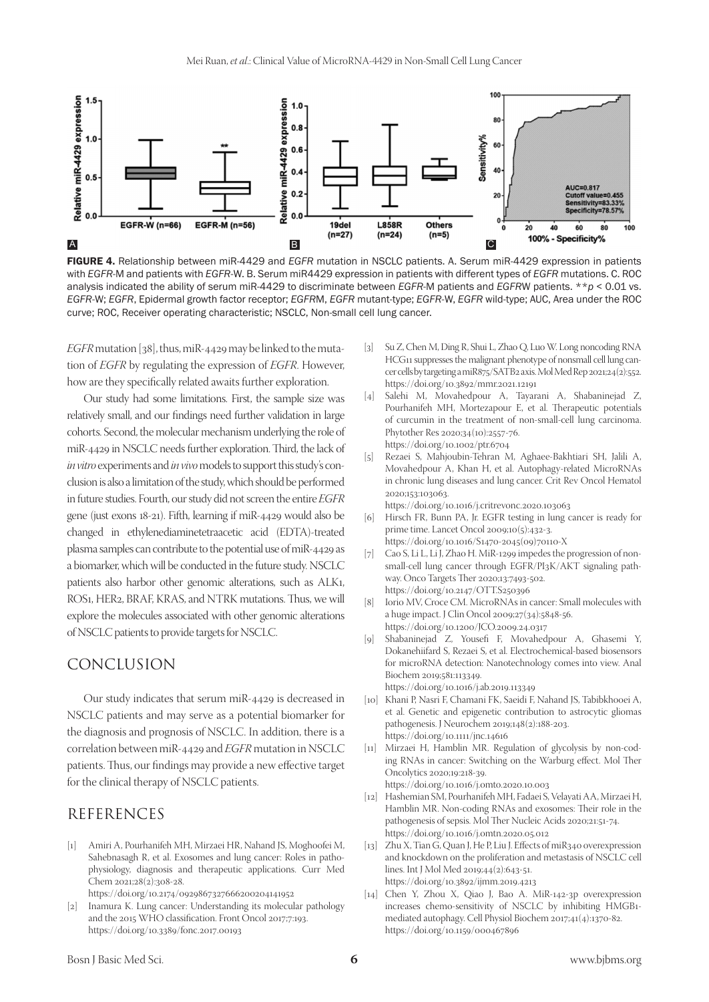

FIGURE 4. Relationship between miR-4429 and *EGFR* mutation in NSCLC patients. A. Serum miR-4429 expression in patients with *EGFR*-M and patients with *EGFR*-W. B. Serum miR4429 expression in patients with different types of *EGFR* mutations. C. ROC analysis indicated the ability of serum miR-4429 to discriminate between *EGFR*-M patients and *EGFR*W patients. \*\**p* < 0.01 vs. *EGFR*-W; *EGFR*, Epidermal growth factor receptor; *EGFR*M, *EGFR* mutant-type; *EGFR*-W, *EGFR* wild-type; AUC, Area under the ROC curve; ROC, Receiver operating characteristic; NSCLC, Non-small cell lung cancer.

*EGFR* mutation [38], thus, miR-4429 may be linked to the mutation of *EGFR* by regulating the expression of *EGFR*. However, how are they specifically related awaits further exploration.

Our study had some limitations. First, the sample size was relatively small, and our findings need further validation in large cohorts. Second, the molecular mechanism underlying the role of miR-4429 in NSCLC needs further exploration. Third, the lack of *in vitro* experiments and *in vivo* models to support this study's conclusion is also a limitation of the study, which should be performed in future studies. Fourth, our study did not screen the entire *EGFR* gene (just exons 18-21). Fifth, learning if miR-4429 would also be changed in ethylenediaminetetraacetic acid (EDTA)-treated plasma samples can contribute to the potential use of miR-4429 as a biomarker, which will be conducted in the future study. NSCLC patients also harbor other genomic alterations, such as ALK1, ROS1, HER2, BRAF, KRAS, and NTRK mutations. Thus, we will explore the molecules associated with other genomic alterations of NSCLC patients to provide targets for NSCLC.

# CONCLUSION

Our study indicates that serum miR-4429 is decreased in NSCLC patients and may serve as a potential biomarker for the diagnosis and prognosis of NSCLC. In addition, there is a correlation between miR-4429 and *EGFR* mutation in NSCLC patients. Thus, our findings may provide a new effective target for the clinical therapy of NSCLC patients.

# REFERENCES

[1] Amiri A, Pourhanifeh MH, Mirzaei HR, Nahand JS, Moghoofei M, Sahebnasagh R, et al. Exosomes and lung cancer: Roles in pathophysiology, diagnosis and therapeutic applications. Curr Med Chem 2021;28(2):308-28.

https://doi.org/10.2174/0929867327666200204141952

[2] Inamura K. Lung cancer: Understanding its molecular pathology and the 2015 WHO classification. Front Oncol 2017;7:193. https://doi.org/10.3389/fonc.2017.00193

- [3] Su Z, Chen M, Ding R, Shui L, Zhao Q, Luo W. Long noncoding RNA HCG11 suppresses the malignant phenotype of nonsmall cell lung cancer cells by targeting a miR875/SATB2 axis. Mol Med Rep 2021;24(2):552. https://doi.org/10.3892/mmr.2021.12191
- [4] Salehi M, Movahedpour A, Tayarani A, Shabaninejad Z, Pourhanifeh MH, Mortezapour E, et al. Therapeutic potentials of curcumin in the treatment of non-small-cell lung carcinoma. Phytother Res 2020;34(10):2557-76. https://doi.org/10.1002/ptr.6704
- [5] Rezaei S, Mahjoubin-Tehran M, Aghaee-Bakhtiari SH, Jalili A, Movahedpour A, Khan H, et al. Autophagy-related MicroRNAs in chronic lung diseases and lung cancer. Crit Rev Oncol Hematol 2020;153:103063.

https://doi.org/10.1016/j.critrevonc.2020.103063

- [6] Hirsch FR, Bunn PA, Jr. EGFR testing in lung cancer is ready for prime time. Lancet Oncol 2009;10(5):432-3. [https://doi.org/10.1016/S1470-2045\(09\)70110-X](https://doi.org/10.1016/S1470-2045(09)70110-X)
- [7] Cao S, Li L, Li J, Zhao H. MiR-1299 impedes the progression of nonsmall-cell lung cancer through EGFR/PI3K/AKT signaling pathway. Onco Targets Ther 2020;13:7493-502. https://doi.org/10.2147/OTT.S250396
- [8] Iorio MV, Croce CM. MicroRNAs in cancer: Small molecules with a huge impact. J Clin Oncol 2009;27(34):5848-56. https://doi.org/10.1200/JCO.2009.24.0317
- [9] Shabaninejad Z, Yousefi F, Movahedpour A, Ghasemi Y, Dokanehiifard S, Rezaei S, et al. Electrochemical-based biosensors for microRNA detection: Nanotechnology comes into view. Anal Biochem 2019;581:113349. https://doi.org/10.1016/j.ab.2019.113349
- [10] Khani P, Nasri F, Chamani FK, Saeidi F, Nahand JS, Tabibkhooei A, et al. Genetic and epigenetic contribution to astrocytic gliomas pathogenesis. J Neurochem 2019;148(2):188-203. https://doi.org/10.1111/jnc.14616
- [11] Mirzaei H, Hamblin MR. Regulation of glycolysis by non-coding RNAs in cancer: Switching on the Warburg effect. Mol Ther Oncolytics 2020;19:218-39. https://doi.org/10.1016/j.omto.2020.10.003
- [12] Hashemian SM, Pourhanifeh MH, Fadaei S, Velayati AA, Mirzaei H, Hamblin MR. Non-coding RNAs and exosomes: Their role in the pathogenesis of sepsis. Mol Ther Nucleic Acids 2020;21:51-74. https://doi.org/10.1016/j.omtn.2020.05.012
- [13] Zhu X, Tian G, Quan J, He P, Liu J. Effects of miR340 overexpression and knockdown on the proliferation and metastasis of NSCLC cell lines. Int J Mol Med 2019;44(2):643-51. https://doi.org/10.3892/ijmm.2019.4213
- [14] Chen Y, Zhou X, Qiao J, Bao A. MiR-142-3p overexpression increases chemo-sensitivity of NSCLC by inhibiting HMGB1 mediated autophagy. Cell Physiol Biochem 2017;41(4):1370-82. https://doi.org/10.1159/000467896